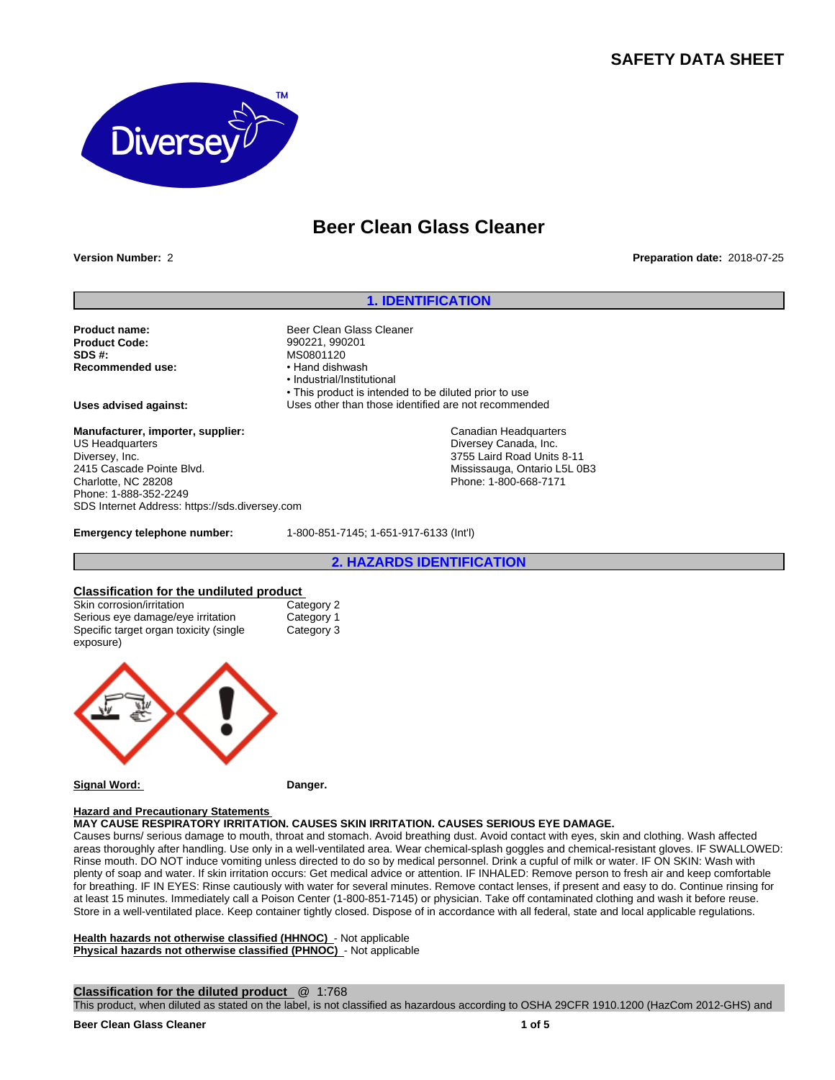## **SAFETY DATA SHEET**



# **Beer Clean Glass Cleaner**

**Version Number:** 2 **Preparation date:** 2018-07-25

## **1. IDENTIFICATION**

**Product name:** Beer Clean Glass Cleaner<br> **Product Code:** Same Register (1990221, 990201) **Product Code:** 990221, 990201<br>**SDS #:** MS0801120 **Recommended use:** 

**Manufacturer, importer, supplier:** US Headquarters Diversey, Inc. 2415 Cascade Pointe Blvd. Charlotte, NC 28208 Phone: 1-888-352-2249 SDS Internet Address: https://sds.diversey.com

MS0801120<br>• Hand dishwash •Industrial/Institutional • This product is intended to be diluted prior to use **Uses advised against:** Uses other than those identified are not recommended

> Canadian Headquarters Diversey Canada, Inc. 3755 Laird Road Units 8-11 Mississauga, Ontario L5L 0B3 Phone: 1-800-668-7171

**Emergency telephone number:** 1-800-851-7145; 1-651-917-6133 (Int'l)

**2. HAZARDS IDENTIFICATION**

## **Classification for the undiluted product**

| Skin corrosion/irritation                            | Category 2 |
|------------------------------------------------------|------------|
| Serious eye damage/eye irritation                    | Category 1 |
| Specific target organ toxicity (single)<br>exposure) | Category 3 |
|                                                      |            |



**Signal Word: Danger.**

## **Hazard and Precautionary Statements**

**MAY CAUSE RESPIRATORY IRRITATION. CAUSES SKIN IRRITATION. CAUSES SERIOUS EYE DAMAGE.**

Causes burns/ serious damage to mouth, throat and stomach. Avoid breathing dust. Avoid contact with eyes, skin and clothing. Wash affected areas thoroughly after handling. Use only in a well-ventilated area. Wear chemical-splash goggles and chemical-resistant gloves. IF SWALLOWED: Rinse mouth. DO NOT induce vomiting unless directed to do so by medical personnel. Drink a cupful of milk or water. IF ON SKIN: Wash with plenty of soap and water. If skin irritation occurs: Get medical advice or attention. IF INHALED: Remove person to fresh air and keep comfortable for breathing. IF IN EYES: Rinse cautiously with water for several minutes. Remove contact lenses, if present and easy to do. Continue rinsing for at least 15 minutes. Immediately call a Poison Center (1-800-851-7145) or physician. Take off contaminated clothing and wash it before reuse. Store in a well-ventilated place. Keep container tightly closed. Dispose of in accordance with all federal, state and local applicable regulations.

**Health hazards not otherwise classified (HHNOC)** - Not applicable **Physical hazards not otherwise classified (PHNOC)** - Not applicable

#### **Classification for the diluted product** @ 1:768

This product, when diluted as stated on the label, is not classified as hazardous according to OSHA 29CFR 1910.1200 (HazCom 2012-GHS) and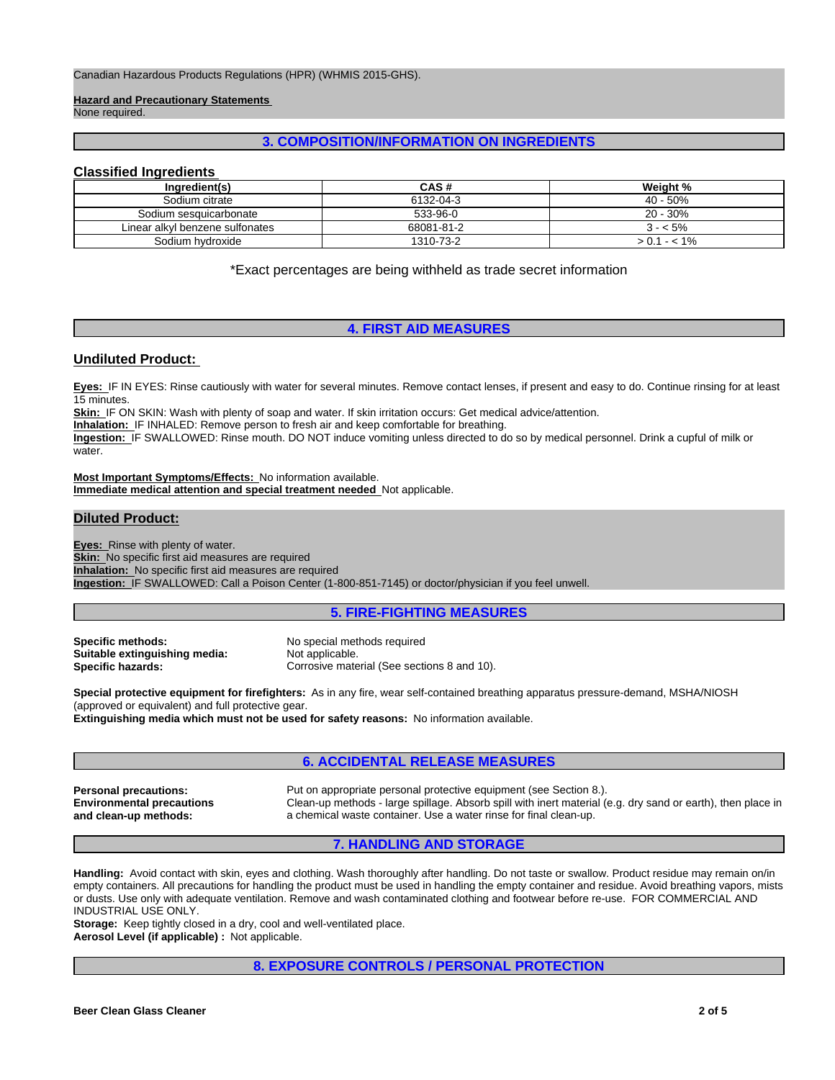**Hazard and Precautionary Statements**  None required.

#### **3. COMPOSITION/INFORMATION ON INGREDIENTS**

#### **Classified Ingredients**

| Ingredient(s)                   | CAS #      | Weight %    |  |
|---------------------------------|------------|-------------|--|
| Sodium citrate                  | 6132-04-3  | $40 - 50%$  |  |
| Sodium sesquicarbonate          | 533-96-0   | $20 - 30%$  |  |
| Linear alkyl benzene sulfonates | 68081-81-2 | $3 - 5\%$   |  |
| Sodium hydroxide                | 1310-73-2  | $1 - 5.1\%$ |  |

\*Exact percentages are being withheld as trade secret information

## **4. FIRST AID MEASURES**

#### **Undiluted Product:**

**Eyes:** IF IN EYES: Rinse cautiously with water for several minutes. Remove contact lenses, if present and easy to do. Continue rinsing for at least 15 minutes.

**Skin:** IF ON SKIN: Wash with plenty of soap and water. If skin irritation occurs: Get medical advice/attention.

**Inhalation:** IF INHALED: Remove person to fresh air and keep comfortable for breathing.

**Ingestion:** IF SWALLOWED: Rinse mouth. DO NOT induce vomiting unless directed to do so by medical personnel. Drink a cupful of milk or water.

**Most Important Symptoms/Effects:** No information available. **Immediate medical attention and special treatment needed** Not applicable.

#### **Diluted Product:**

**Eyes:** Rinse with plenty of water. **Skin:** No specific first aid measures are required **Inhalation:** No specific first aid measures are required **Ingestion:** IF SWALLOWED: Call a Poison Center (1-800-851-7145) or doctor/physician if you feel unwell.

#### **5. FIRE-FIGHTING MEASURES**

**Specific methods:** No special methods required **Suitable extinguishing media:** Not applicable.<br> **Specific hazards:** Corrosive mate

Corrosive material (See sections 8 and 10).

**Special protective equipment for firefighters:** As in any fire, wear self-contained breathing apparatus pressure-demand, MSHA/NIOSH (approved or equivalent) and full protective gear. **Extinguishing media which must not be used for safety reasons:** No information available.

#### **6. ACCIDENTAL RELEASE MEASURES**

**Environmental precautions and clean-up methods:**

**Personal precautions:** Put on appropriate personal protective equipment (see Section 8.). Clean-up methods - large spillage. Absorb spill with inert material (e.g. dry sand or earth), then place in a chemical waste container. Use a water rinse for final clean-up.

#### **7. HANDLING AND STORAGE**

**Handling:** Avoid contact with skin, eyes and clothing. Wash thoroughly after handling. Do not taste or swallow. Product residue may remain on/in empty containers. All precautions for handling the product must be used in handling the empty container and residue. Avoid breathing vapors, mists or dusts. Use only with adequate ventilation. Remove and wash contaminated clothing and footwear before re-use. FOR COMMERCIAL AND INDUSTRIAL USE ONLY.

**Storage:** Keep tightly closed in a dry, cool and well-ventilated place. **Aerosol Level (if applicable) :** Not applicable.

#### **8. EXPOSURE CONTROLS / PERSONAL PROTECTION**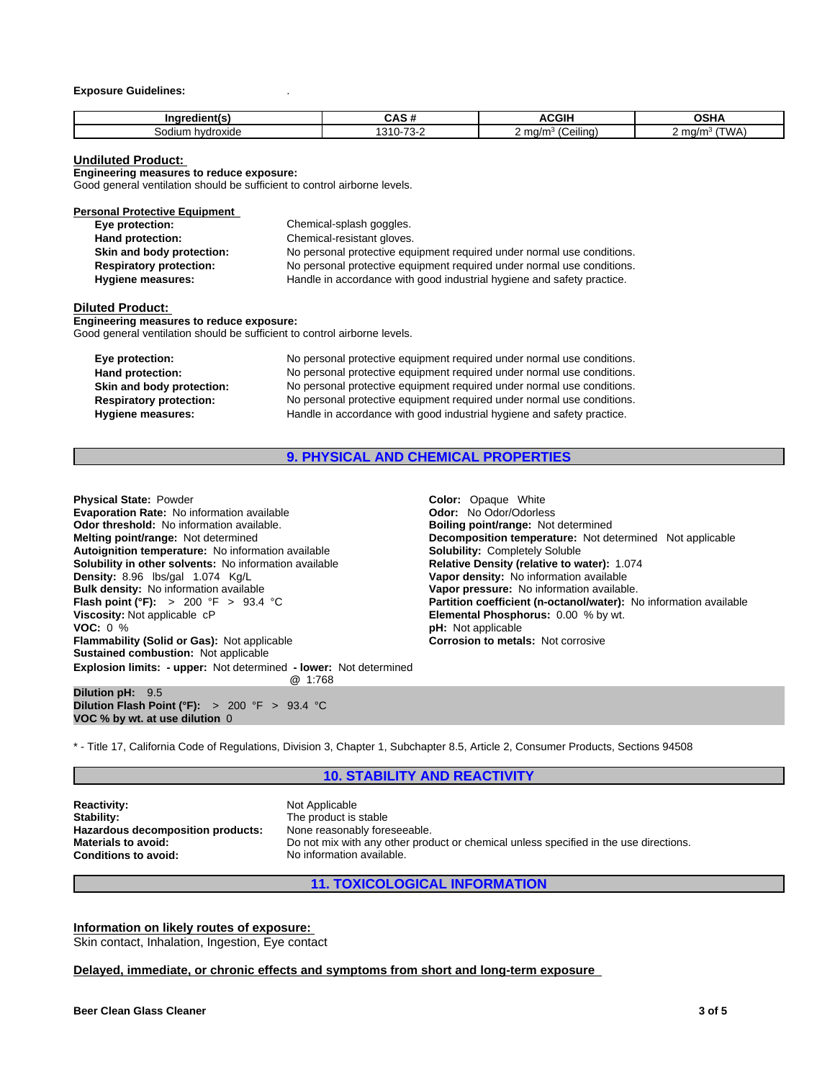#### **Exposure Guidelines:** .

| $- -$<br>Indredient(s) |                                | <b>ACGIH</b>                                             | ៱៰៶៲៱<br>אחכע              |
|------------------------|--------------------------------|----------------------------------------------------------|----------------------------|
| hvdroxide<br>Sodium.   | $\sim$<br>0.40<br>.<br>$\cdot$ | $\overline{\phantom{a}}$<br>$\cdot$<br>ma/m<br>(Ceiling) | 'WA<br>' ma/m <sup>3</sup> |

#### **Undiluted Product:**

**Engineering measures to reduce exposure:**

Good general ventilation should be sufficient to control airborne levels.

| Chemical-splash goggles.                                               |
|------------------------------------------------------------------------|
| Chemical-resistant gloves.                                             |
| No personal protective equipment required under normal use conditions. |
| No personal protective equipment required under normal use conditions. |
| Handle in accordance with good industrial hygiene and safety practice. |
|                                                                        |

#### **Diluted Product:**

**Engineering measures to reduce exposure:** Good general ventilation should be sufficient to control airborne levels.

| Eye protection:                | No personal protective equipment required under normal use conditions. |
|--------------------------------|------------------------------------------------------------------------|
| Hand protection:               | No personal protective equipment required under normal use conditions. |
| Skin and body protection:      | No personal protective equipment required under normal use conditions. |
| <b>Respiratory protection:</b> | No personal protective equipment required under normal use conditions. |
| Hygiene measures:              | Handle in accordance with good industrial hygiene and safety practice. |

## **9. PHYSICAL AND CHEMICAL PROPERTIES**

| <b>Physical State: Powder</b>                                                       |                                                                   |
|-------------------------------------------------------------------------------------|-------------------------------------------------------------------|
|                                                                                     | <b>Color:</b> Opaque White                                        |
| <b>Evaporation Rate: No information available</b>                                   | <b>Odor:</b> No Odor/Odorless                                     |
| <b>Odor threshold:</b> No information available.                                    | <b>Boiling point/range: Not determined</b>                        |
| Melting point/range: Not determined                                                 | <b>Decomposition temperature:</b> Not determined Not applicable   |
| Autoignition temperature: No information available                                  | <b>Solubility: Completely Soluble</b>                             |
| <b>Solubility in other solvents:</b> No information available                       | Relative Density (relative to water): 1.074                       |
| Density: 8.96 lbs/gal 1.074 Kg/L                                                    | Vapor density: No information available                           |
| <b>Bulk density:</b> No information available                                       | Vapor pressure: No information available.                         |
| <b>Flash point (°F):</b> > 200 °F > 93.4 °C                                         | Partition coefficient (n-octanol/water): No information availated |
| Viscosity: Not applicable cP                                                        | <b>Elemental Phosphorus: 0.00 % by wt.</b>                        |
| <b>VOC:</b> $0\%$                                                                   | <b>pH</b> : Not applicable                                        |
| <b>Flammability (Solid or Gas): Not applicable</b>                                  | <b>Corrosion to metals: Not corrosive</b>                         |
| <b>Sustained combustion: Not applicable</b>                                         |                                                                   |
| <b>Explosion limits: - upper:</b> Not determined - lower: Not determined<br>@ 1:768 |                                                                   |
| Dilution pH: 9.5                                                                    |                                                                   |
| Dilution Flash Point ( $\degree$ F): > 200 $\degree$ F > 93.4 $\degree$ C           |                                                                   |

\* - Title 17, California Code of Regulations, Division 3, Chapter 1, Subchapter 8.5, Article 2, Consumer Products, Sections 94508

#### **10. STABILITY AND REACTIVITY**

**Reactivity:** Not Applicable Stability: Not Applicable Stability: **Hazardous decomposition products:**<br>Materials to avoid:

**VOC % by wt. at use dilution** 0

The product is stable<br>None reasonably foreseeable. **Materials to avoid:** Do not mix with any other product or chemical unless specified in the use directions.<br> **Conditions to avoid:** No information available. **Conditions to avoid:** No information available.

**11. TOXICOLOGICAL INFORMATION**

**Information on likely routes of exposure:**

Skin contact, Inhalation, Ingestion, Eye contact

#### **Delayed, immediate, or chronic effects and symptoms from short and long-term exposure**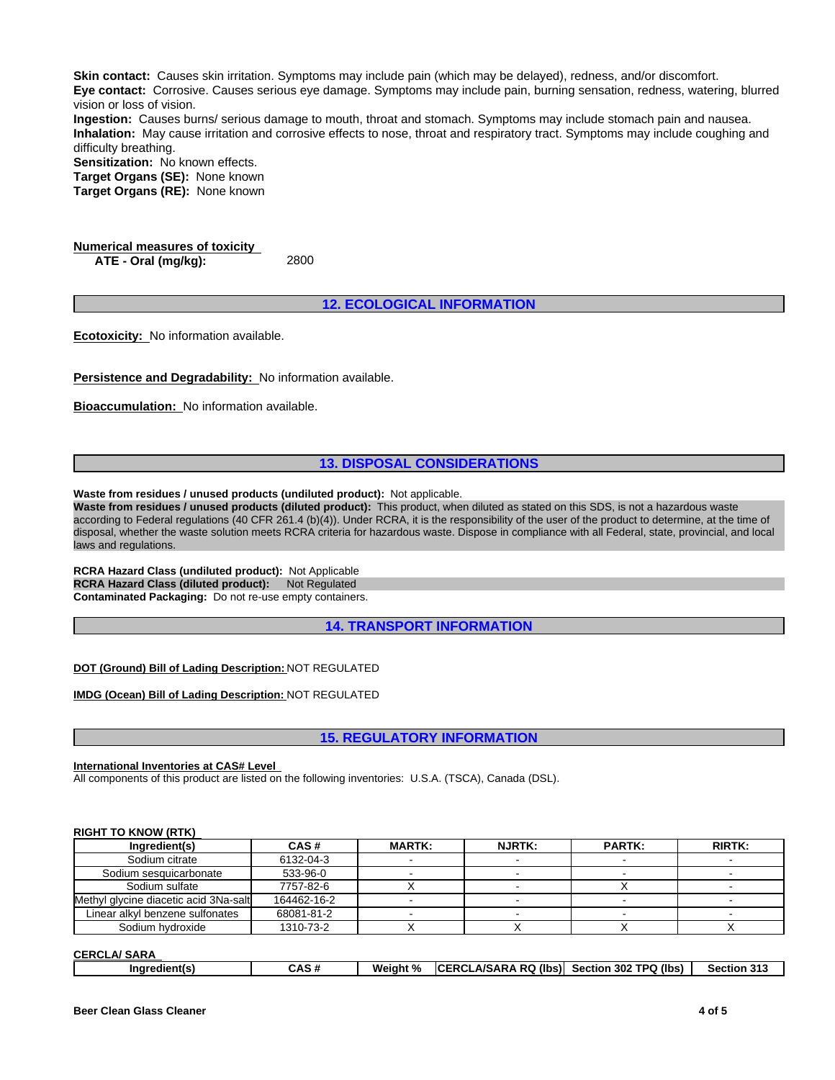**Skin contact:** Causes skin irritation. Symptoms may include pain (which may be delayed), redness, and/or discomfort. **Eye contact:** Corrosive. Causes serious eye damage. Symptoms may include pain, burning sensation, redness, watering, blurred vision or loss of vision.

**Ingestion:** Causes burns/ serious damage to mouth, throat and stomach. Symptoms may include stomach pain and nausea. **Inhalation:** May cause irritation and corrosive effects to nose, throat and respiratory tract. Symptoms may include coughing and difficulty breathing.

**Sensitization:** No known effects.

**Target Organs (SE):** None known **Target Organs (RE):** None known

**Numerical measures of toxicity ATE - Oral (mg/kg):** 2800

**12. ECOLOGICAL INFORMATION**

**Ecotoxicity:** No information available.

**Persistence and Degradability:** No information available.

**Bioaccumulation:** No information available.

## **13. DISPOSAL CONSIDERATIONS**

**Waste from residues / unused products (undiluted product):** Not applicable.

**Waste from residues / unused products (diluted product):** This product, when diluted as stated on this SDS, is not a hazardous waste according to Federal regulations (40 CFR 261.4 (b)(4)). Under RCRA, it is the responsibility of the user of the product to determine, at the time of disposal, whether the waste solution meets RCRA criteria for hazardous waste. Dispose in compliance with all Federal, state, provincial, and local laws and regulations.

**RCRA Hazard Class (undiluted product):** Not Applicable **RCRA Hazard Class (diluted product):** Not Regulated **Contaminated Packaging:** Do not re-use empty containers.

**14. TRANSPORT INFORMATION**

**DOT (Ground) Bill of Lading Description:** NOT REGULATED

**IMDG (Ocean) Bill of Lading Description:** NOT REGULATED

**15. REGULATORY INFORMATION**

#### **International Inventories at CAS# Level**

All components of this product are listed on the following inventories: U.S.A. (TSCA), Canada (DSL).

#### **RIGHT TO KNOW (RTK)**

| Ingredient(s)                         | CAS#        | <b>MARTK:</b> | <b>NJRTK:</b> | <b>PARTK:</b> | <b>RIRTK:</b> |
|---------------------------------------|-------------|---------------|---------------|---------------|---------------|
| Sodium citrate                        | 6132-04-3   |               |               |               |               |
| Sodium sesquicarbonate                | 533-96-0    |               |               |               |               |
| Sodium sulfate                        | 7757-82-6   |               |               |               |               |
| Methyl glycine diacetic acid 3Na-salt | 164462-16-2 |               |               |               |               |
| Linear alkyl benzene sulfonates       | 68081-81-2  |               |               |               |               |
| Sodium hydroxide                      | 1310-73-2   |               |               |               |               |

**CERCLA/ SARA**